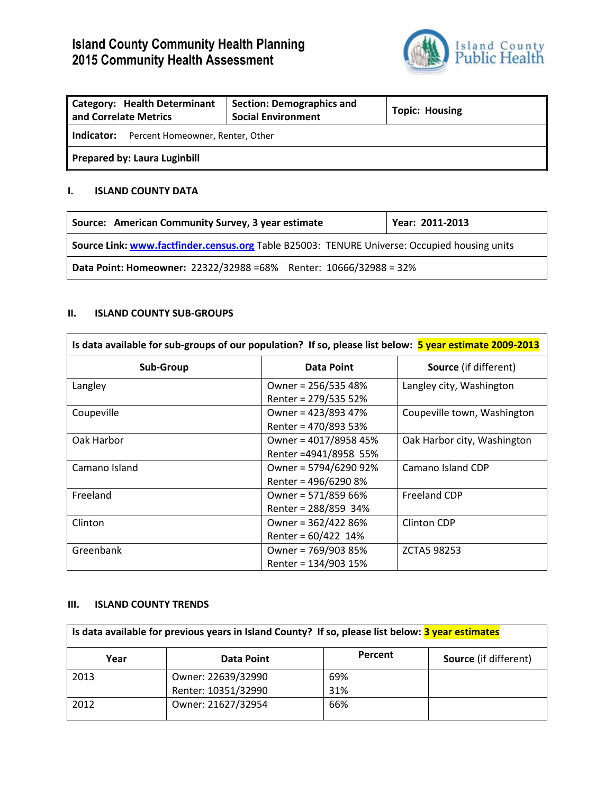# **Island County Community Health Planning 2015 Community Health Assessment**



| <b>Category: Health Determinant</b><br>and Correlate Metrics | <b>Section: Demographics and</b><br><b>Social Environment</b> | <b>Topic: Housing</b> |
|--------------------------------------------------------------|---------------------------------------------------------------|-----------------------|
| Indicator:<br>Percent Homeowner, Renter, Other               |                                                               |                       |
| <b>Prepared by: Laura Luginbill</b>                          |                                                               |                       |

#### **I. ISLAND COUNTY DATA**

| Source: American Community Survey, 3 year estimate                                           | Year: 2011-2013 |  |
|----------------------------------------------------------------------------------------------|-----------------|--|
| Source Link: www.factfinder.census.org Table B25003: TENURE Universe: Occupied housing units |                 |  |
| Data Point: Homeowner: 22322/32988 = 68% Renter: 10666/32988 = 32%                           |                 |  |

#### **II. ISLAND COUNTY SUB-GROUPS**

| Is data available for sub-groups of our population? If so, please list below: <b>5 year estimate 2009-2013</b> |                                                 |                             |
|----------------------------------------------------------------------------------------------------------------|-------------------------------------------------|-----------------------------|
| <b>Sub-Group</b>                                                                                               | <b>Data Point</b>                               |                             |
| Langley                                                                                                        | Owner = 256/535 48%<br>Renter = 279/535 52%     | Langley city, Washington    |
| Coupeville                                                                                                     | Owner = 423/893 47%<br>Renter = 470/893 53%     | Coupeville town, Washington |
| Oak Harbor                                                                                                     | Owner = 4017/8958 45%<br>Renter = 4941/8958 55% | Oak Harbor city, Washington |
| Camano Island                                                                                                  | Owner = 5794/6290 92%<br>Renter = 496/6290 8%   | Camano Island CDP           |
| Freeland                                                                                                       | Owner = 571/859 66%<br>Renter = 288/859 34%     | <b>Freeland CDP</b>         |
| Clinton                                                                                                        | Owner = 362/422 86%<br>Renter = $60/422$ 14%    | Clinton CDP                 |
| Greenbank                                                                                                      | Owner = 769/903 85%<br>Renter = 134/903 15%     | ZCTA5 98253                 |

#### **III. ISLAND COUNTY TRENDS**

| Is data available for previous years in Island County? If so, please list below: 3 year estimates |                     |         |                              |
|---------------------------------------------------------------------------------------------------|---------------------|---------|------------------------------|
| Year                                                                                              | Data Point          | Percent | <b>Source</b> (if different) |
| 2013                                                                                              | Owner: 22639/32990  | 69%     |                              |
|                                                                                                   | Renter: 10351/32990 | 31%     |                              |
| 2012                                                                                              | Owner: 21627/32954  | 66%     |                              |